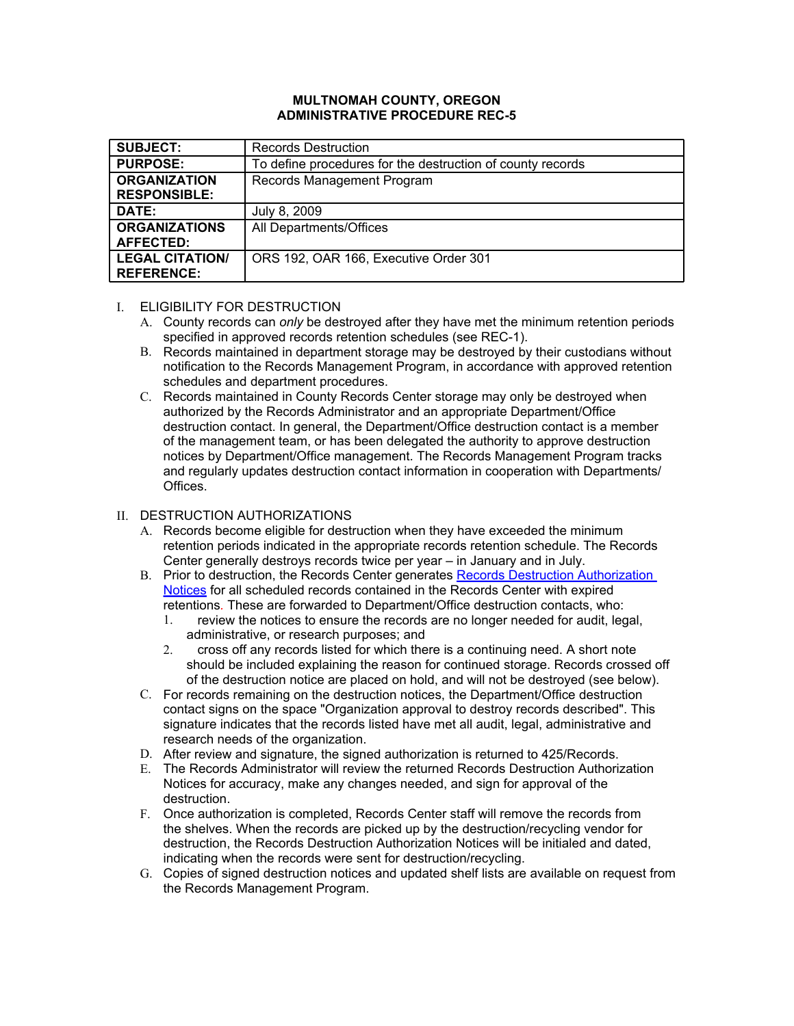#### **MULTNOMAH COUNTY, OREGON ADMINISTRATIVE PROCEDURE REC-5**

| <b>SUBJECT:</b>                             | <b>Records Destruction</b>                                 |
|---------------------------------------------|------------------------------------------------------------|
| <b>PURPOSE:</b>                             | To define procedures for the destruction of county records |
| <b>ORGANIZATION</b>                         | Records Management Program                                 |
| <b>RESPONSIBLE:</b>                         |                                                            |
| DATE:                                       | July 8, 2009                                               |
| <b>ORGANIZATIONS</b><br><b>AFFECTED:</b>    | All Departments/Offices                                    |
| <b>LEGAL CITATION/</b><br><b>REFERENCE:</b> | ORS 192, OAR 166, Executive Order 301                      |

### I. ELIGIBILITY FOR DESTRUCTION

- A. County records can *only* be destroyed after they have met the minimum retention periods specified in approved records retention schedules (see REC-1).
- B. Records maintained in department storage may be destroyed by their custodians without notification to the Records Management Program, in accordance with approved retention schedules and department procedures.
- C. Records maintained in County Records Center storage may only be destroyed when authorized by the Records Administrator and an appropriate Department/Office destruction contact. In general, the Department/Office destruction contact is a member of the management team, or has been delegated the authority to approve destruction notices by Department/Office management. The Records Management Program tracks and regularly updates destruction contact information in cooperation with Departments/ Offices.

# II. DESTRUCTION AUTHORIZATIONS

- A. Records become eligible for destruction when they have exceeded the minimum retention periods indicated in the appropriate records retention schedule. The Records Center generally destroys records twice per year – in January and in July.
- B. Prior to destruction, the [Records](http://web.multco.us/sites/default/files/records/documents/destruction_authorization_notice_-_example.pdf) Cen[t](http://web.multco.us/sites/default/files/records/documents/destruction_authorization_notice_-_example.pdf)er generates Records Destruction [Authoriza](http://web.multco.us/sites/default/files/records/documents/destruction_authorization_notice_-_example.pdf)tion [Notices](http://web.multco.us/sites/default/files/records/documents/destruction_authorization_notice_-_example.pdf) for all scheduled records contained in the Records Center with expired retentions*.* These are forwarded to Department/Office destruction contacts, who:
	- 1. review the notices to ensure the records are no longer needed for audit, legal, administrative, or research purposes; and
	- 2. cross off any records listed for which there is a continuing need. A short note should be included explaining the reason for continued storage. Records crossed off of the destruction notice are placed on hold, and will not be destroyed (see below).
- C. For records remaining on the destruction notices, the Department/Office destruction contact signs on the space "Organization approval to destroy records described". This signature indicates that the records listed have met all audit, legal, administrative and research needs of the organization.
- D. After review and signature, the signed authorization is returned to 425/Records.
- E. The Records Administrator will review the returned Records Destruction Authorization Notices for accuracy, make any changes needed, and sign for approval of the destruction.
- F. Once authorization is completed, Records Center staff will remove the records from the shelves. When the records are picked up by the destruction/recycling vendor for destruction, the Records Destruction Authorization Notices will be initialed and dated, indicating when the records were sent for destruction/recycling.
- G. Copies of signed destruction notices and updated shelf lists are available on request from the Records Management Program.